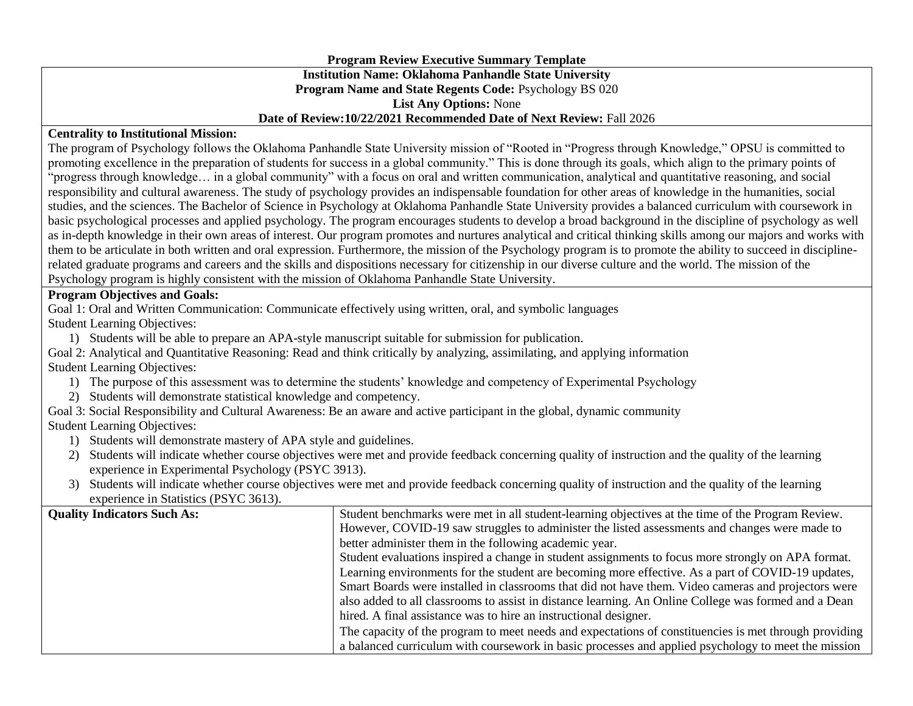## **Program Review Executive Summary Template Institution Name: Oklahoma Panhandle State University Program Name and State Regents Code:** Psychology BS 020 **List Any Options:** None **Date of Review:10/22/2021 Recommended Date of Next Review:** Fall 2026

## **Centrality to Institutional Mission:**

The program of Psychology follows the Oklahoma Panhandle State University mission of "Rooted in "Progress through Knowledge," OPSU is committed to promoting excellence in the preparation of students for success in a global community." This is done through its goals, which align to the primary points of "progress through knowledge… in a global community" with a focus on oral and written communication, analytical and quantitative reasoning, and social responsibility and cultural awareness. The study of psychology provides an indispensable foundation for other areas of knowledge in the humanities, social studies, and the sciences. The Bachelor of Science in Psychology at Oklahoma Panhandle State University provides a balanced curriculum with coursework in basic psychological processes and applied psychology. The program encourages students to develop a broad background in the discipline of psychology as well as in-depth knowledge in their own areas of interest. Our program promotes and nurtures analytical and critical thinking skills among our majors and works with them to be articulate in both written and oral expression. Furthermore, the mission of the Psychology program is to promote the ability to succeed in disciplinerelated graduate programs and careers and the skills and dispositions necessary for citizenship in our diverse culture and the world. The mission of the Psychology program is highly consistent with the mission of Oklahoma Panhandle State University.

## **Program Objectives and Goals:**

Goal 1: Oral and Written Communication: Communicate effectively using written, oral, and symbolic languages Student Learning Objectives:

- 1) Students will be able to prepare an APA-style manuscript suitable for submission for publication.
- Goal 2: Analytical and Quantitative Reasoning: Read and think critically by analyzing, assimilating, and applying information Student Learning Objectives:
	- 1) The purpose of this assessment was to determine the students' knowledge and competency of Experimental Psychology
	- 2) Students will demonstrate statistical knowledge and competency.

Goal 3: Social Responsibility and Cultural Awareness: Be an aware and active participant in the global, dynamic community Student Learning Objectives:

- 1) Students will demonstrate mastery of APA style and guidelines.
- 2) Students will indicate whether course objectives were met and provide feedback concerning quality of instruction and the quality of the learning experience in Experimental Psychology (PSYC 3913).
- 3) Students will indicate whether course objectives were met and provide feedback concerning quality of instruction and the quality of the learning experience in Statistics (PSYC 3613).

| <b>Quality Indicators Such As:</b> | Student benchmarks were met in all student-learning objectives at the time of the Program Review.     |  |  |  |  |  |
|------------------------------------|-------------------------------------------------------------------------------------------------------|--|--|--|--|--|
|                                    | However, COVID-19 saw struggles to administer the listed assessments and changes were made to         |  |  |  |  |  |
|                                    | better administer them in the following academic year.                                                |  |  |  |  |  |
|                                    | Student evaluations inspired a change in student assignments to focus more strongly on APA format.    |  |  |  |  |  |
|                                    | Learning environments for the student are becoming more effective. As a part of COVID-19 updates,     |  |  |  |  |  |
|                                    | Smart Boards were installed in classrooms that did not have them. Video cameras and projectors were   |  |  |  |  |  |
|                                    | also added to all classrooms to assist in distance learning. An Online College was formed and a Dean  |  |  |  |  |  |
|                                    | hired. A final assistance was to hire an instructional designer.                                      |  |  |  |  |  |
|                                    | The capacity of the program to meet needs and expectations of constituencies is met through providing |  |  |  |  |  |
|                                    | a balanced curriculum with coursework in basic processes and applied psychology to meet the mission   |  |  |  |  |  |